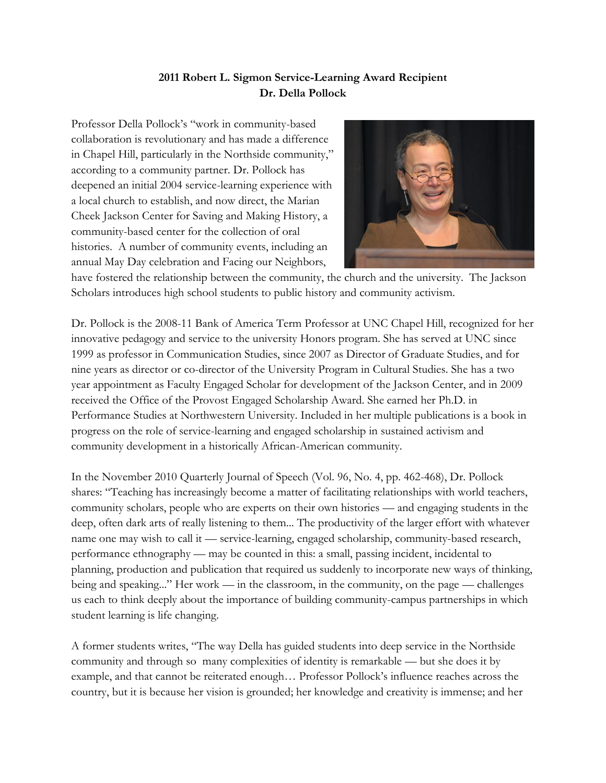## **2011 Robert L. Sigmon Service-Learning Award Recipient Dr. Della Pollock**

Professor Della Pollock's "work in community-based collaboration is revolutionary and has made a difference in Chapel Hill, particularly in the Northside community," according to a community partner. Dr. Pollock has deepened an initial 2004 service-learning experience with a local church to establish, and now direct, the Marian Cheek Jackson Center for Saving and Making History, a community-based center for the collection of oral histories. A number of community events, including an annual May Day celebration and Facing our Neighbors,



have fostered the relationship between the community, the church and the university. The Jackson Scholars introduces high school students to public history and community activism.

Dr. Pollock is the 2008-11 Bank of America Term Professor at UNC Chapel Hill, recognized for her innovative pedagogy and service to the university Honors program. She has served at UNC since 1999 as professor in Communication Studies, since 2007 as Director of Graduate Studies, and for nine years as director or co-director of the University Program in Cultural Studies. She has a two year appointment as Faculty Engaged Scholar for development of the Jackson Center, and in 2009 received the Office of the Provost Engaged Scholarship Award. She earned her Ph.D. in Performance Studies at Northwestern University. Included in her multiple publications is a book in progress on the role of service-learning and engaged scholarship in sustained activism and community development in a historically African-American community.

In the November 2010 Quarterly Journal of Speech (Vol. 96, No. 4, pp. 462-468), Dr. Pollock shares: "Teaching has increasingly become a matter of facilitating relationships with world teachers, community scholars, people who are experts on their own histories — and engaging students in the deep, often dark arts of really listening to them... The productivity of the larger effort with whatever name one may wish to call it — service-learning, engaged scholarship, community-based research, performance ethnography — may be counted in this: a small, passing incident, incidental to planning, production and publication that required us suddenly to incorporate new ways of thinking, being and speaking..." Her work — in the classroom, in the community, on the page — challenges us each to think deeply about the importance of building community-campus partnerships in which student learning is life changing.

A former students writes, "The way Della has guided students into deep service in the Northside community and through so many complexities of identity is remarkable — but she does it by example, and that cannot be reiterated enough… Professor Pollock's influence reaches across the country, but it is because her vision is grounded; her knowledge and creativity is immense; and her